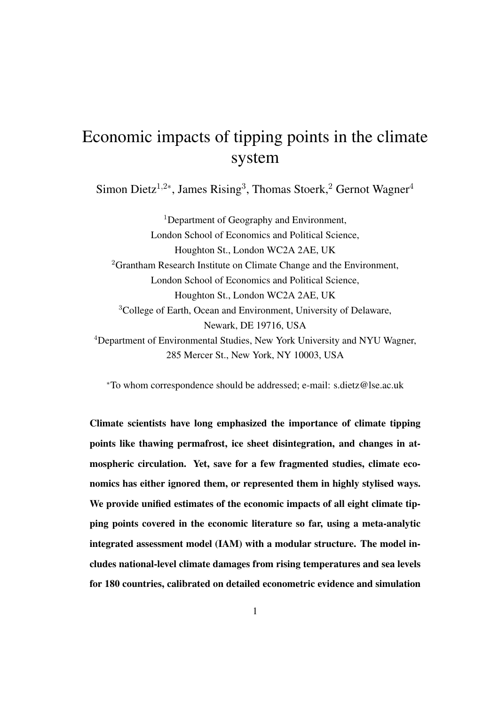## Economic impacts of tipping points in the climate system

Simon Dietz<sup>1,2\*</sup>, James Rising<sup>3</sup>, Thomas Stoerk,<sup>2</sup> Gernot Wagner<sup>4</sup>

<sup>1</sup>Department of Geography and Environment, London School of Economics and Political Science, Houghton St., London WC2A 2AE, UK <sup>2</sup>Grantham Research Institute on Climate Change and the Environment, London School of Economics and Political Science, Houghton St., London WC2A 2AE, UK <sup>3</sup>College of Earth, Ocean and Environment, University of Delaware, Newark, DE 19716, USA <sup>4</sup>Department of Environmental Studies, New York University and NYU Wagner, 285 Mercer St., New York, NY 10003, USA

<sup>∗</sup>To whom correspondence should be addressed; e-mail: s.dietz@lse.ac.uk

Climate scientists have long emphasized the importance of climate tipping points like thawing permafrost, ice sheet disintegration, and changes in atmospheric circulation. Yet, save for a few fragmented studies, climate economics has either ignored them, or represented them in highly stylised ways. We provide unified estimates of the economic impacts of all eight climate tipping points covered in the economic literature so far, using a meta-analytic integrated assessment model (IAM) with a modular structure. The model includes national-level climate damages from rising temperatures and sea levels for 180 countries, calibrated on detailed econometric evidence and simulation